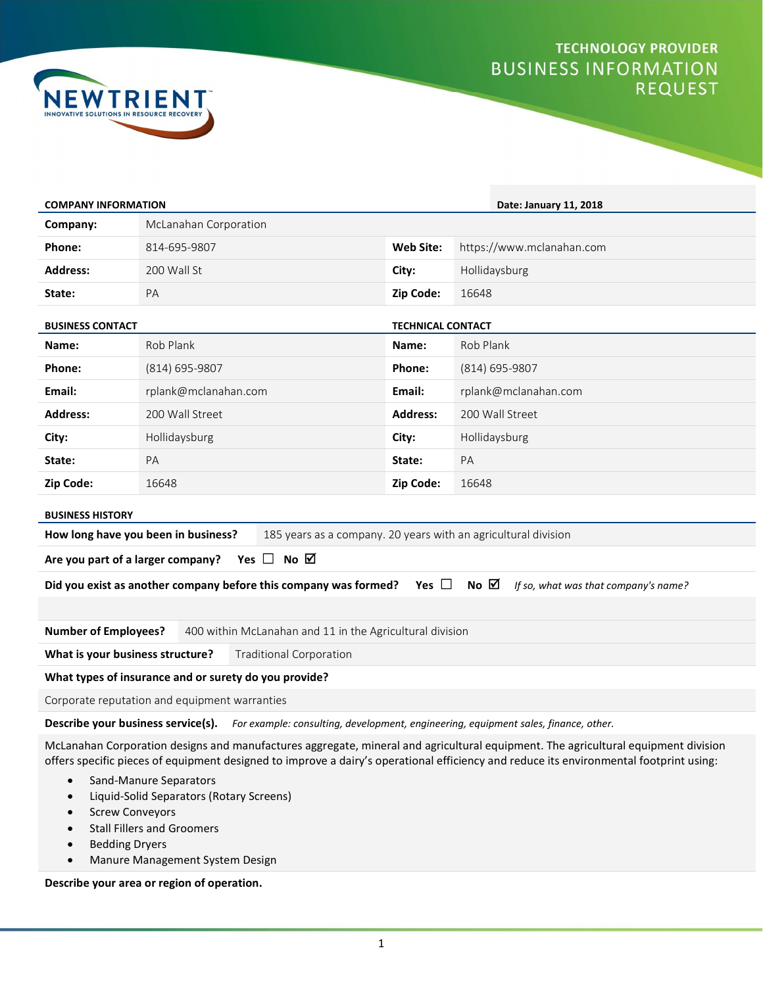## **TECHNOLOGY PROVIDER BUSINESS INFORMATION REQUEST**



| <b>COMPANY INFORMATION</b>                                                                                                            |                       |  | Date: January 11, 2018                                         |                           |  |
|---------------------------------------------------------------------------------------------------------------------------------------|-----------------------|--|----------------------------------------------------------------|---------------------------|--|
| Company:                                                                                                                              | McLanahan Corporation |  |                                                                |                           |  |
| Phone:                                                                                                                                | 814-695-9807          |  | <b>Web Site:</b>                                               | https://www.mclanahan.com |  |
| <b>Address:</b>                                                                                                                       | 200 Wall St           |  | City:                                                          | Hollidaysburg             |  |
| State:                                                                                                                                | PA                    |  | Zip Code:                                                      | 16648                     |  |
| <b>BUSINESS CONTACT</b>                                                                                                               |                       |  | <b>TECHNICAL CONTACT</b>                                       |                           |  |
| Name:                                                                                                                                 | Rob Plank             |  | Name:                                                          | Rob Plank                 |  |
| Phone:                                                                                                                                | (814) 695-9807        |  | Phone:                                                         | (814) 695-9807            |  |
| Email:                                                                                                                                | rplank@mclanahan.com  |  | Email:                                                         | rplank@mclanahan.com      |  |
| <b>Address:</b>                                                                                                                       | 200 Wall Street       |  | <b>Address:</b>                                                | 200 Wall Street           |  |
| City:                                                                                                                                 | Hollidaysburg         |  | City:                                                          | Hollidaysburg             |  |
| State:                                                                                                                                | PA                    |  | State:                                                         | PA                        |  |
| Zip Code:                                                                                                                             | 16648                 |  | Zip Code:                                                      | 16648                     |  |
| <b>BUSINESS HISTORY</b>                                                                                                               |                       |  |                                                                |                           |  |
| How long have you been in business?                                                                                                   |                       |  | 185 years as a company. 20 years with an agricultural division |                           |  |
| Yes $\Box$ No $\Box$<br>Are you part of a larger company?                                                                             |                       |  |                                                                |                           |  |
| Did you exist as another company before this company was formed? Yes $\Box$<br>No $\boxtimes$<br>If so, what was that company's name? |                       |  |                                                                |                           |  |
|                                                                                                                                       |                       |  |                                                                |                           |  |
| <b>Number of Employees?</b><br>400 within McLanahan and 11 in the Agricultural division                                               |                       |  |                                                                |                           |  |
| What is your business structure?<br><b>Traditional Corporation</b>                                                                    |                       |  |                                                                |                           |  |
| What types of insurance and or surety do you provide?                                                                                 |                       |  |                                                                |                           |  |
| Corporate reputation and equipment warranties                                                                                         |                       |  |                                                                |                           |  |
|                                                                                                                                       |                       |  |                                                                |                           |  |

Describe your business service(s). For example: consulting, development, engineering, equipment sales, finance, other.

McLanahan Corporation designs and manufactures aggregate, mineral and agricultural equipment. The agricultural equipment division offers specific pieces of equipment designed to improve a dairy's operational efficiency and reduce its environmental footprint using:

- Sand-Manure Separators
- Liquid-Solid Separators (Rotary Screens)
- Screw Conveyors
- Stall Fillers and Groomers
- Bedding Dryers
- Manure Management System Design

Describe your area or region of operation.